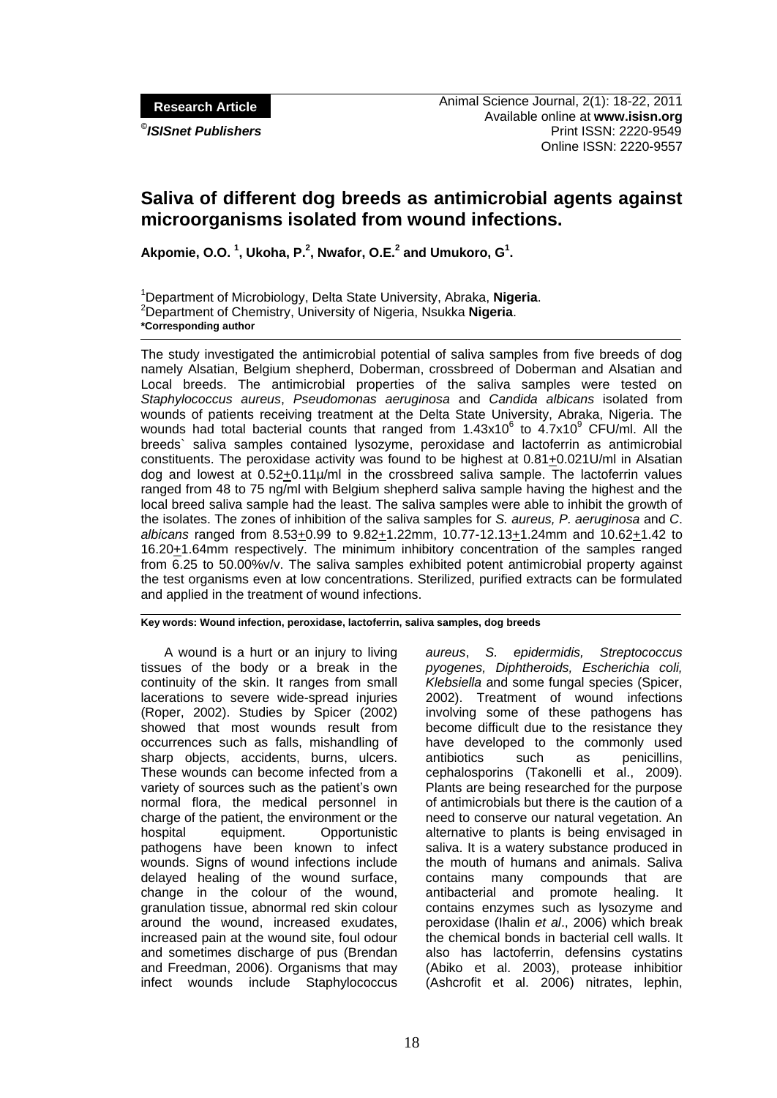**Research Article**

*©*

# **Saliva of different dog breeds as antimicrobial agents against microorganisms isolated from wound infections.**

**Akpomie, O.O. 1 , Ukoha, P.<sup>2</sup> , Nwafor, O.E.<sup>2</sup> and Umukoro, G<sup>1</sup> .**

<sup>1</sup>Department of Microbiology, Delta State University, Abraka, **Nigeria**. <sup>2</sup>Department of Chemistry, University of Nigeria, Nsukka **Nigeria**. **\*Corresponding author**

The study investigated the antimicrobial potential of saliva samples from five breeds of dog namely Alsatian, Belgium shepherd, Doberman, crossbreed of Doberman and Alsatian and Local breeds. The antimicrobial properties of the saliva samples were tested on *Staphylococcus aureus*, *Pseudomonas aeruginosa* and *Candida albicans* isolated from wounds of patients receiving treatment at the Delta State University, Abraka, Nigeria. The wounds had total bacterial counts that ranged from  $1.43x10^6$  to  $4.7x10^9$  CFU/ml. All the breeds` saliva samples contained lysozyme, peroxidase and lactoferrin as antimicrobial constituents. The peroxidase activity was found to be highest at  $0.81\pm0.021$ U/ml in Alsatian dog and lowest at 0.52+0.11µ/ml in the crossbreed saliva sample. The lactoferrin values ranged from 48 to 75 ng/ml with Belgium shepherd saliva sample having the highest and the local breed saliva sample had the least. The saliva samples were able to inhibit the growth of the isolates. The zones of inhibition of the saliva samples for *S. aureus, P. aeruginosa* and *C*. *albicans* ranged from 8.53+0.99 to 9.82+1.22mm, 10.77-12.13+1.24mm and 10.62+1.42 to 16.20+1.64mm respectively. The minimum inhibitory concentration of the samples ranged from 6.25 to 50.00%v/v. The saliva samples exhibited potent antimicrobial property against the test organisms even at low concentrations. Sterilized, purified extracts can be formulated and applied in the treatment of wound infections.

**Key words: Wound infection, peroxidase, lactoferrin, saliva samples, dog breeds**

A wound is a hurt or an injury to living tissues of the body or a break in the continuity of the skin. It ranges from small lacerations to severe wide-spread injuries (Roper, 2002). Studies by Spicer (2002) showed that most wounds result from occurrences such as falls, mishandling of sharp objects, accidents, burns, ulcers. These wounds can become infected from a variety of sources such as the patient's own normal flora, the medical personnel in charge of the patient, the environment or the hospital equipment. Opportunistic pathogens have been known to infect wounds. Signs of wound infections include delayed healing of the wound surface, change in the colour of the wound, granulation tissue, abnormal red skin colour around the wound, increased exudates, increased pain at the wound site, foul odour and sometimes discharge of pus (Brendan and Freedman, 2006). Organisms that may infect wounds include Staphylococcus *aureus*, *S. epidermidis, Streptococcus pyogenes, Diphtheroids, Escherichia coli, Klebsiella* and some fungal species (Spicer, 2002). Treatment of wound infections involving some of these pathogens has become difficult due to the resistance they have developed to the commonly used antibiotics such as penicillins, cephalosporins (Takonelli et al., 2009). Plants are being researched for the purpose of antimicrobials but there is the caution of a need to conserve our natural vegetation. An alternative to plants is being envisaged in saliva. It is a watery substance produced in the mouth of humans and animals. Saliva contains many compounds that are antibacterial and promote healing. It contains enzymes such as lysozyme and peroxidase (Ihalin *et al*., 2006) which break the chemical bonds in bacterial cell walls. It also has lactoferrin, defensins cystatins (Abiko et al. 2003), protease inhibitior (Ashcrofit et al. 2006) nitrates, lephin,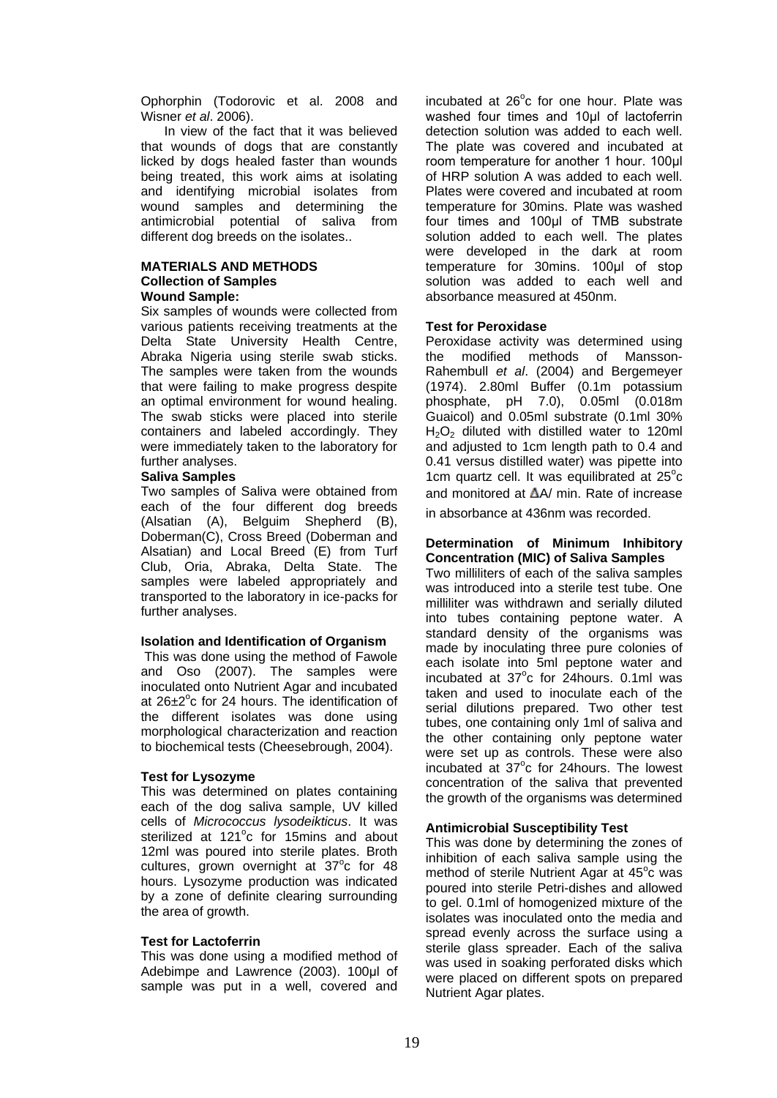Ophorphin (Todorovic et al. 2008 and Wisner *et al*. 2006).

In view of the fact that it was believed that wounds of dogs that are constantly licked by dogs healed faster than wounds being treated, this work aims at isolating and identifying microbial isolates from wound samples and determining the antimicrobial potential of saliva from different dog breeds on the isolates..

# **MATERIALS AND METHODS Collection of Samples Wound Sample:**

Six samples of wounds were collected from various patients receiving treatments at the Delta State University Health Centre, Abraka Nigeria using sterile swab sticks. The samples were taken from the wounds that were failing to make progress despite an optimal environment for wound healing. The swab sticks were placed into sterile containers and labeled accordingly. They were immediately taken to the laboratory for further analyses.

# **Saliva Samples**

Two samples of Saliva were obtained from each of the four different dog breeds (Alsatian (A), Belguim Shepherd (B), Doberman(C), Cross Breed (Doberman and Alsatian) and Local Breed (E) from Turf Club, Oria, Abraka, Delta State. The samples were labeled appropriately and transported to the laboratory in ice-packs for further analyses.

# **Isolation and Identification of Organism**

This was done using the method of Fawole and Oso (2007). The samples were inoculated onto Nutrient Agar and incubated at  $26\pm2^{\circ}$ c for 24 hours. The identification of the different isolates was done using morphological characterization and reaction to biochemical tests (Cheesebrough, 2004).

# **Test for Lysozyme**

This was determined on plates containing each of the dog saliva sample, UV killed cells of *Micrococcus lysodeikticus*. It was sterilized at 121°c for 15mins and about 12ml was poured into sterile plates. Broth cultures, grown overnight at  $37^{\circ}$ c for 48 hours. Lysozyme production was indicated by a zone of definite clearing surrounding the area of growth.

# **Test for Lactoferrin**

This was done using a modified method of Adebimpe and Lawrence (2003). 100μl of sample was put in a well, covered and

incubated at 26°c for one hour. Plate was washed four times and 10μl of lactoferrin detection solution was added to each well. The plate was covered and incubated at room temperature for another 1 hour. 100μl of HRP solution A was added to each well. Plates were covered and incubated at room temperature for 30mins. Plate was washed four times and 100μl of TMB substrate solution added to each well. The plates were developed in the dark at room temperature for 30mins. 100μl of stop solution was added to each well and absorbance measured at 450nm.

#### **Test for Peroxidase**

Peroxidase activity was determined using the modified methods of Mansson-Rahembull *et al*. (2004) and Bergemeyer (1974). 2.80ml Buffer (0.1m potassium phosphate, pH 7.0), 0.05ml (0.018m Guaicol) and 0.05ml substrate (0.1ml 30%  $H_2O_2$  diluted with distilled water to 120ml and adjusted to 1cm length path to 0.4 and 0.41 versus distilled water) was pipette into 1cm quartz cell. It was equilibrated at  $25^{\circ}$ c and monitored at  $\Delta A$  min. Rate of increase in absorbance at 436nm was recorded.

#### **Determination of Minimum Inhibitory Concentration (MIC) of Saliva Samples**

Two milliliters of each of the saliva samples was introduced into a sterile test tube. One milliliter was withdrawn and serially diluted into tubes containing peptone water. A standard density of the organisms was made by inoculating three pure colonies of each isolate into 5ml peptone water and incubated at  $37^{\circ}$ c for 24 hours. 0.1ml was taken and used to inoculate each of the serial dilutions prepared. Two other test tubes, one containing only 1ml of saliva and the other containing only peptone water were set up as controls. These were also incubated at  $37^{\circ}$ c for 24 hours. The lowest concentration of the saliva that prevented the growth of the organisms was determined

#### **Antimicrobial Susceptibility Test**

This was done by determining the zones of inhibition of each saliva sample using the method of sterile Nutrient Agar at  $45^{\circ}$ c was poured into sterile Petri-dishes and allowed to gel. 0.1ml of homogenized mixture of the isolates was inoculated onto the media and spread evenly across the surface using a sterile glass spreader. Each of the saliva was used in soaking perforated disks which were placed on different spots on prepared Nutrient Agar plates.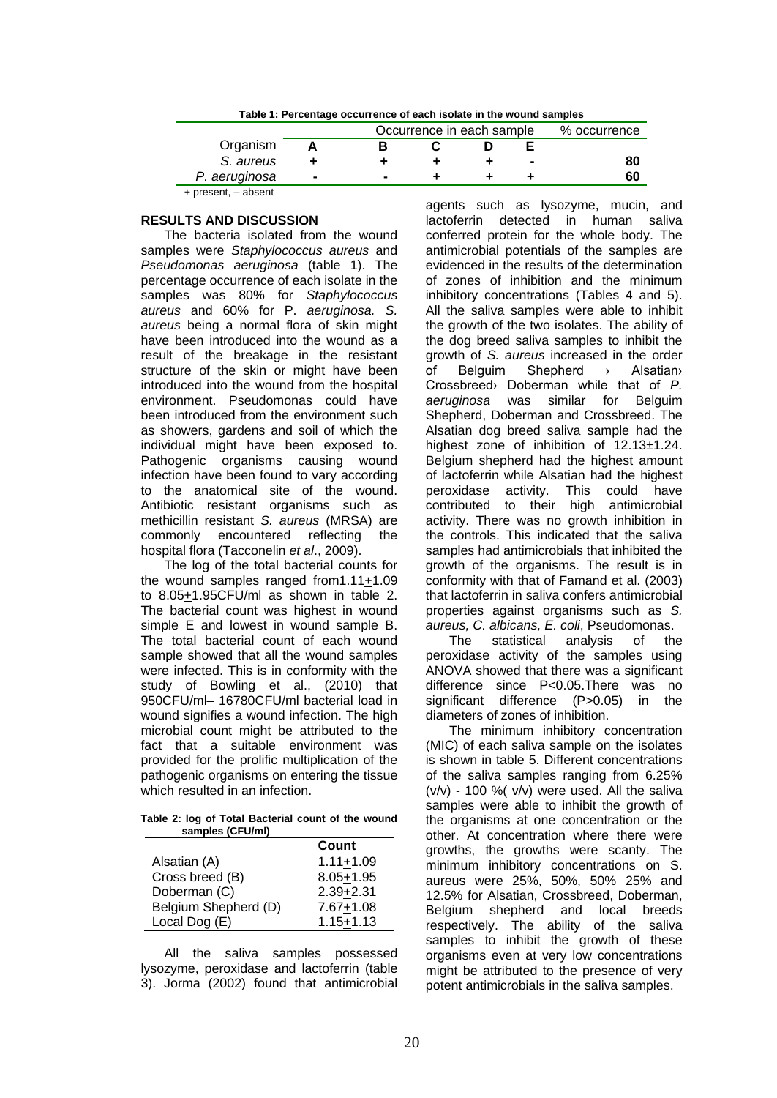| Table 1: Percentage occurrence of each isolate in the wound samples |                |                           |  |              |                |    |  |  |  |  |
|---------------------------------------------------------------------|----------------|---------------------------|--|--------------|----------------|----|--|--|--|--|
|                                                                     |                | Occurrence in each sample |  | % occurrence |                |    |  |  |  |  |
| Organism                                                            |                | в                         |  |              |                |    |  |  |  |  |
| S. aureus                                                           |                |                           |  |              | $\blacksquare$ | 80 |  |  |  |  |
| P. aeruginosa                                                       | $\blacksquare$ | $\blacksquare$            |  |              |                | 60 |  |  |  |  |
| $+$ present, $-$ absent                                             |                |                           |  |              |                |    |  |  |  |  |

**Table 1: Percentage occurrence of each isolate in the wound samples**

# **RESULTS AND DISCUSSION**

The bacteria isolated from the wound samples were *Staphylococcus aureus* and *Pseudomonas aeruginosa* (table 1). The percentage occurrence of each isolate in the samples was 80% for *Staphylococcus aureus* and 60% for P. *aeruginosa. S. aureus* being a normal flora of skin might have been introduced into the wound as a result of the breakage in the resistant structure of the skin or might have been introduced into the wound from the hospital environment. Pseudomonas could have been introduced from the environment such as showers, gardens and soil of which the individual might have been exposed to. Pathogenic organisms causing wound infection have been found to vary according to the anatomical site of the wound. Antibiotic resistant organisms such as methicillin resistant *S. aureus* (MRSA) are commonly encountered reflecting the hospital flora (Tacconelin *et al*., 2009).

The log of the total bacterial counts for the wound samples ranged from1.11+1.09 to 8.05+1.95CFU/ml as shown in table 2. The bacterial count was highest in wound simple E and lowest in wound sample B. The total bacterial count of each wound sample showed that all the wound samples were infected. This is in conformity with the study of Bowling et al., (2010) that 950CFU/ml– 16780CFU/ml bacterial load in wound signifies a wound infection. The high microbial count might be attributed to the fact that a suitable environment was provided for the prolific multiplication of the pathogenic organisms on entering the tissue which resulted in an infection.

**Table 2: log of Total Bacterial count of the wound samples (CFU/ml)**

|                      | Count         |
|----------------------|---------------|
| Alsatian (A)         | $1.11 + 1.09$ |
| Cross breed (B)      | $8.05 + 1.95$ |
| Doberman (C)         | $2.39 + 2.31$ |
| Belgium Shepherd (D) | $7.67 + 1.08$ |
| Local Dog (E)        | $1.15 + 1.13$ |

All the saliva samples possessed lysozyme, peroxidase and lactoferrin (table 3). Jorma (2002) found that antimicrobial

agents such as lysozyme, mucin, and lactoferrin detected in human saliva conferred protein for the whole body. The antimicrobial potentials of the samples are evidenced in the results of the determination of zones of inhibition and the minimum inhibitory concentrations (Tables 4 and 5). All the saliva samples were able to inhibit the growth of the two isolates. The ability of the dog breed saliva samples to inhibit the growth of *S. aureus* increased in the order of Belguim Shepherd › Alsatian› Crossbreed› Doberman while that of *P. aeruginosa* was similar for Belguim Shepherd, Doberman and Crossbreed. The Alsatian dog breed saliva sample had the highest zone of inhibition of 12.13±1.24. Belgium shepherd had the highest amount of lactoferrin while Alsatian had the highest peroxidase activity. This could have contributed to their high antimicrobial activity. There was no growth inhibition in the controls. This indicated that the saliva samples had antimicrobials that inhibited the growth of the organisms. The result is in conformity with that of Famand et al. (2003) that lactoferrin in saliva confers antimicrobial properties against organisms such as *S. aureus, C. albicans, E. coli*, Pseudomonas.

The statistical analysis of the peroxidase activity of the samples using ANOVA showed that there was a significant difference since P<0.05.There was no significant difference (P>0.05) in the diameters of zones of inhibition.

The minimum inhibitory concentration (MIC) of each saliva sample on the isolates is shown in table 5. Different concentrations of the saliva samples ranging from 6.25%  $(v/v)$  - 100 %( $v/v$ ) were used. All the saliva samples were able to inhibit the growth of the organisms at one concentration or the other. At concentration where there were growths, the growths were scanty. The minimum inhibitory concentrations on S. aureus were 25%, 50%, 50% 25% and 12.5% for Alsatian, Crossbreed, Doberman, Belgium shepherd and local breeds respectively. The ability of the saliva samples to inhibit the growth of these organisms even at very low concentrations might be attributed to the presence of very potent antimicrobials in the saliva samples.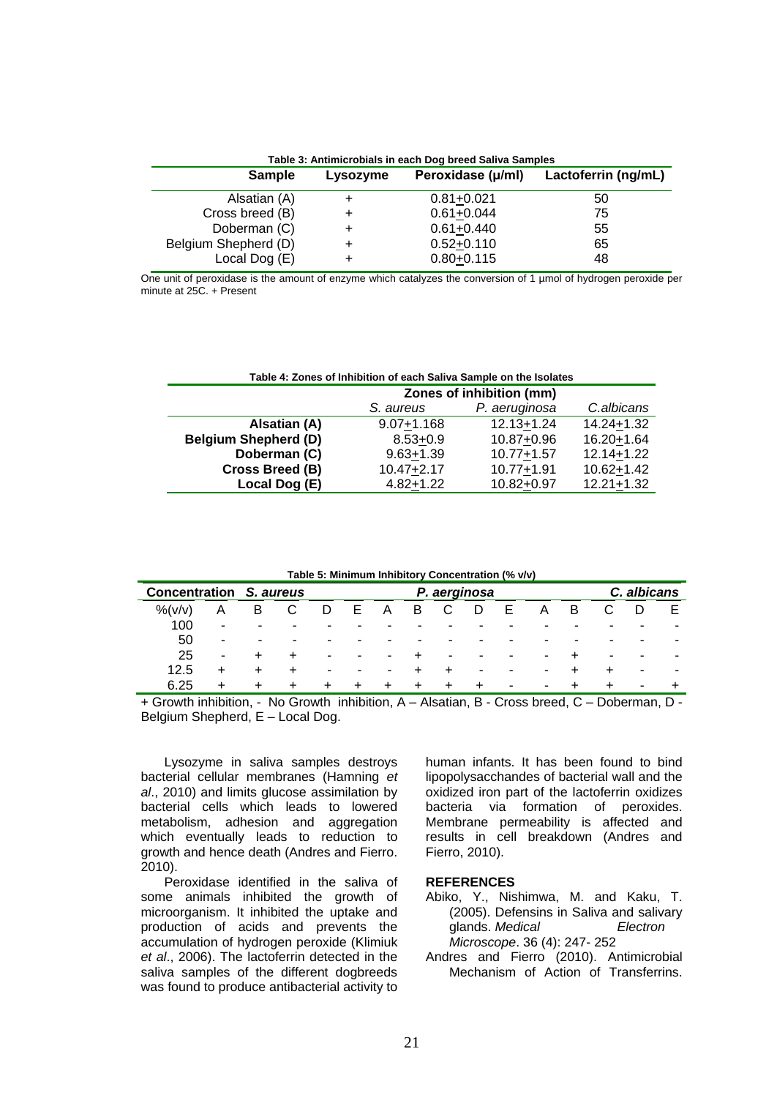| Table 3: Antimicrobials in each Dog breed Saliva Samples |          |                   |                     |  |  |  |  |  |  |  |
|----------------------------------------------------------|----------|-------------------|---------------------|--|--|--|--|--|--|--|
| <b>Sample</b>                                            | Lysozyme | Peroxidase (µ/ml) | Lactoferrin (ng/mL) |  |  |  |  |  |  |  |
| Alsatian (A)                                             |          | $0.81 + 0.021$    | 50                  |  |  |  |  |  |  |  |
| Cross breed (B)                                          |          | $0.61 + 0.044$    | 75                  |  |  |  |  |  |  |  |
| Doberman (C)                                             |          | $0.61 + 0.440$    | 55                  |  |  |  |  |  |  |  |
| Belgium Shepherd (D)                                     |          | $0.52 + 0.110$    | 65                  |  |  |  |  |  |  |  |
| Local Dog (E)                                            |          | $0.80 + 0.115$    | 48                  |  |  |  |  |  |  |  |

One unit of peroxidase is the amount of enzyme which catalyzes the conversion of 1 µmol of hydrogen peroxide per minute at 25C. + Present

| Table 4: Zones of Inhibition of each Saliva Sample on the Isolates |                                          |                |                |  |  |  |  |  |  |
|--------------------------------------------------------------------|------------------------------------------|----------------|----------------|--|--|--|--|--|--|
|                                                                    | Zones of inhibition (mm)                 |                |                |  |  |  |  |  |  |
|                                                                    | P. aeruginosa<br>C.albicans<br>S. aureus |                |                |  |  |  |  |  |  |
| Alsatian (A)                                                       | $9.07 + 1.168$                           | $12.13 + 1.24$ | 14.24+1.32     |  |  |  |  |  |  |
| <b>Belgium Shepherd (D)</b>                                        | $8.53 + 0.9$                             | 10.87+0.96     | 16.20+1.64     |  |  |  |  |  |  |
| Doberman (C)                                                       | $9.63 + 1.39$                            | $10.77 + 1.57$ | 12.14+1.22     |  |  |  |  |  |  |
| Cross Breed (B)                                                    | $10.47 + 2.17$                           | $10.77 + 1.91$ | $10.62 + 1.42$ |  |  |  |  |  |  |
| Local Dog (E)                                                      | $4.82 + 1.22$                            | 10.82+0.97     | $12.21 + 1.32$ |  |  |  |  |  |  |

**Table 5: Minimum Inhibitory Concentration (% v/v)**

| <b>Concentration</b> |                |           | S. aureus | P. aerginosa |   |        |           |       |                          |                          |   | C. albicans              |        |   |                          |
|----------------------|----------------|-----------|-----------|--------------|---|--------|-----------|-------|--------------------------|--------------------------|---|--------------------------|--------|---|--------------------------|
| $%$ (v/v)            |                | в         | U         | D            | E | A      | В         |       | D                        | Е                        | Α | B                        |        |   |                          |
| 100                  | ٠              | ۰         |           |              |   |        |           | -     |                          |                          | - |                          | ۰      | ٠ | ۰                        |
| 50                   | $\blacksquare$ | ٠         | ۰         | -            | - |        | -         | ۰     | -                        | -                        | - | $\overline{\phantom{0}}$ | ۰      | ٠ | ۰                        |
| 25                   | $\blacksquare$ |           |           | ۰            | ۰ | ۰      |           | ۰     | $\blacksquare$           | $\overline{\phantom{a}}$ | ٠ |                          | ۰      | ٠ | ۰                        |
| 12.5                 | ÷              | $\ddot{}$ |           | -            | ۰ | ۰      | +         |       | $\overline{\phantom{0}}$ | -                        | ٠ |                          | $\div$ | ٠ | $\overline{\phantom{a}}$ |
| 6.25                 | ÷              | $\pm$     |           | +            | ÷ | $\div$ | $\ddot{}$ | $\pm$ | $\pm$                    | ۰                        | ۰ | ∸                        | $\div$ | ۰ |                          |

+ Growth inhibition, - No Growth inhibition, A – Alsatian, B - Cross breed, C – Doberman, D - Belgium Shepherd, E – Local Dog.

Lysozyme in saliva samples destroys bacterial cellular membranes (Hamning *et al*., 2010) and limits glucose assimilation by bacterial cells which leads to lowered metabolism, adhesion and aggregation which eventually leads to reduction to growth and hence death (Andres and Fierro. 2010).

Peroxidase identified in the saliva of some animals inhibited the growth of microorganism. It inhibited the uptake and production of acids and prevents the accumulation of hydrogen peroxide (Klimiuk *et al*., 2006). The lactoferrin detected in the saliva samples of the different dogbreeds was found to produce antibacterial activity to human infants. It has been found to bind lipopolysacchandes of bacterial wall and the oxidized iron part of the lactoferrin oxidizes bacteria via formation of peroxides. Membrane permeability is affected and results in cell breakdown (Andres and Fierro, 2010).

#### **REFERENCES**

- Abiko, Y., Nishimwa, M. and Kaku, T. (2005). Defensins in Saliva and salivary glands. *Medical Electron Microscope*. 36 (4): 247- 252
- Andres and Fierro (2010). Antimicrobial Mechanism of Action of Transferrins.